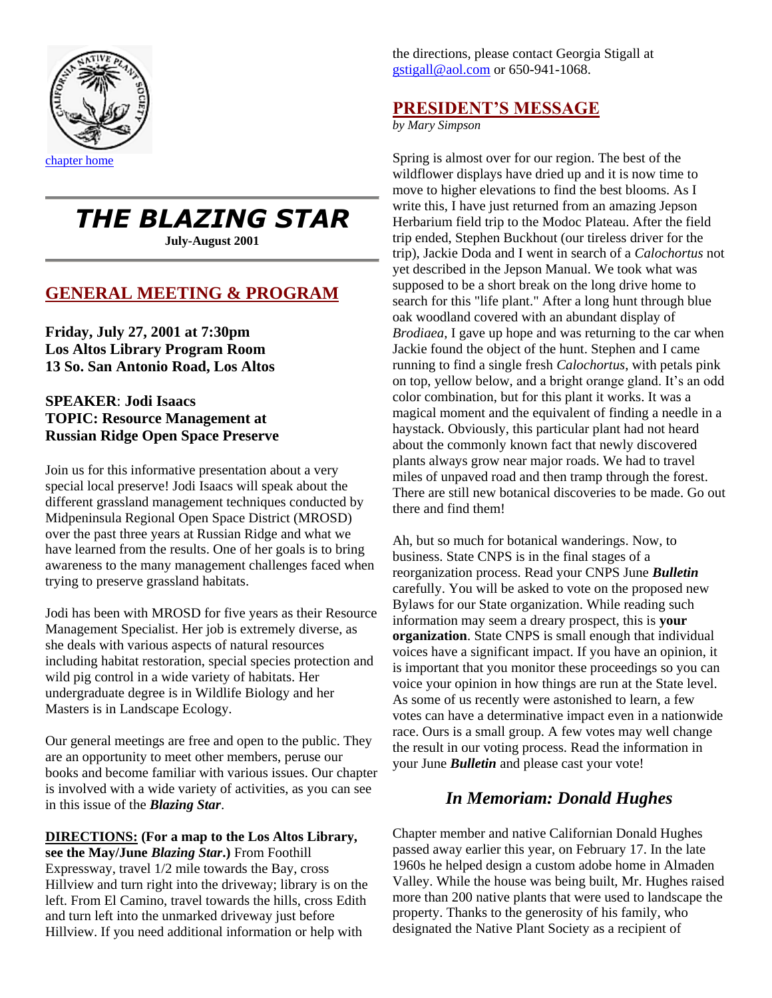

# *THE BLAZING STAR*

**July-August 2001**

## **GENERAL MEETING & PROGRAM**

**Friday, July 27, 2001 at 7:30pm Los Altos Library Program Room 13 So. San Antonio Road, Los Altos**

## **SPEAKER**: **Jodi Isaacs TOPIC: Resource Management at Russian Ridge Open Space Preserve**

Join us for this informative presentation about a very special local preserve! Jodi Isaacs will speak about the different grassland management techniques conducted by Midpeninsula Regional Open Space District (MROSD) over the past three years at Russian Ridge and what we have learned from the results. One of her goals is to bring awareness to the many management challenges faced when trying to preserve grassland habitats.

Jodi has been with MROSD for five years as their Resource Management Specialist. Her job is extremely diverse, as she deals with various aspects of natural resources including habitat restoration, special species protection and wild pig control in a wide variety of habitats. Her undergraduate degree is in Wildlife Biology and her Masters is in Landscape Ecology.

Our general meetings are free and open to the public. They are an opportunity to meet other members, peruse our books and become familiar with various issues. Our chapter is involved with a wide variety of activities, as you can see in this issue of the *Blazing Star*.

## **DIRECTIONS: (For a map to the Los Altos Library,**

**see the May/June** *Blazing Star***.)** From Foothill Expressway, travel 1/2 mile towards the Bay, cross Hillview and turn right into the driveway; library is on the left. From El Camino, travel towards the hills, cross Edith and turn left into the unmarked driveway just before Hillview. If you need additional information or help with

the directions, please contact Georgia Stigall at [gstigall@aol.com](mailto:gstigall@aol.com) or 650-941-1068.

# **PRESIDENT'S MESSAGE**

*by Mary Simpson*

Spring is almost over for our region. The best of the wildflower displays have dried up and it is now time to move to higher elevations to find the best blooms. As I write this, I have just returned from an amazing Jepson Herbarium field trip to the Modoc Plateau. After the field trip ended, Stephen Buckhout (our tireless driver for the trip), Jackie Doda and I went in search of a *Calochortus* not yet described in the Jepson Manual. We took what was supposed to be a short break on the long drive home to search for this "life plant." After a long hunt through blue oak woodland covered with an abundant display of *Brodiaea*, I gave up hope and was returning to the car when Jackie found the object of the hunt. Stephen and I came running to find a single fresh *Calochortus*, with petals pink on top, yellow below, and a bright orange gland. It's an odd color combination, but for this plant it works. It was a magical moment and the equivalent of finding a needle in a haystack. Obviously, this particular plant had not heard about the commonly known fact that newly discovered plants always grow near major roads. We had to travel miles of unpaved road and then tramp through the forest. There are still new botanical discoveries to be made. Go out there and find them!

Ah, but so much for botanical wanderings. Now, to business. State CNPS is in the final stages of a reorganization process. Read your CNPS June *Bulletin* carefully. You will be asked to vote on the proposed new Bylaws for our State organization. While reading such information may seem a dreary prospect, this is **your organization**. State CNPS is small enough that individual voices have a significant impact. If you have an opinion, it is important that you monitor these proceedings so you can voice your opinion in how things are run at the State level. As some of us recently were astonished to learn, a few votes can have a determinative impact even in a nationwide race. Ours is a small group. A few votes may well change the result in our voting process. Read the information in your June *Bulletin* and please cast your vote!

# *In Memoriam: Donald Hughes*

Chapter member and native Californian Donald Hughes passed away earlier this year, on February 17. In the late 1960s he helped design a custom adobe home in Almaden Valley. While the house was being built, Mr. Hughes raised more than 200 native plants that were used to landscape the property. Thanks to the generosity of his family, who designated the Native Plant Society as a recipient of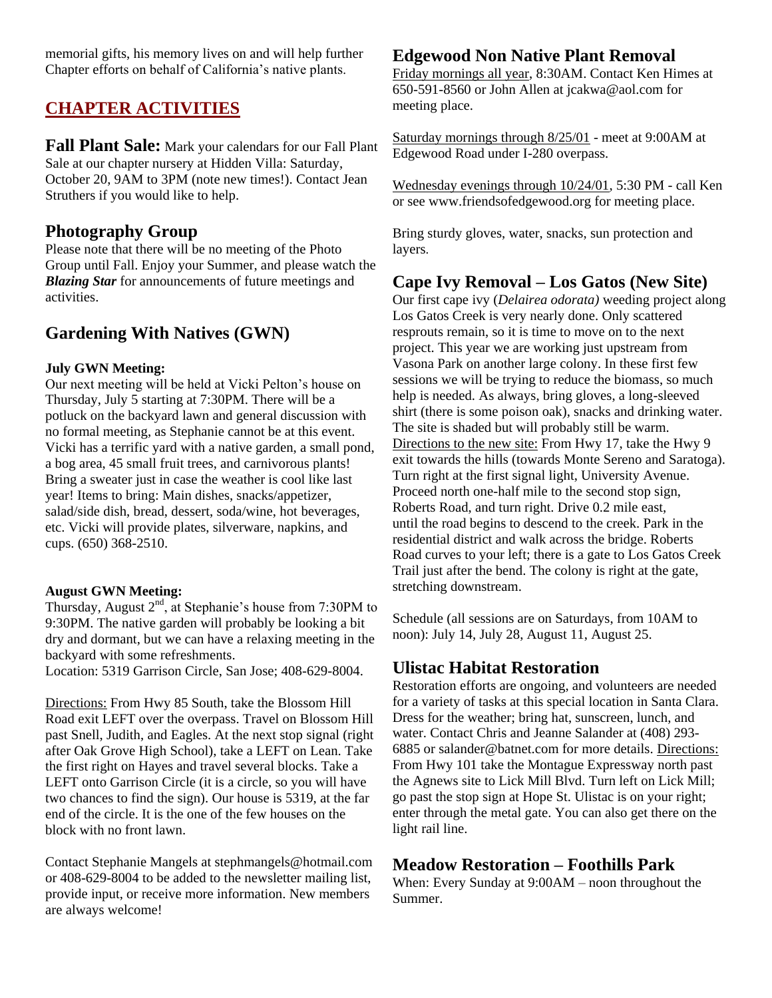memorial gifts, his memory lives on and will help further Chapter efforts on behalf of California's native plants.

# **CHAPTER ACTIVITIES**

**Fall Plant Sale:** Mark your calendars for our Fall Plant Sale at our chapter nursery at Hidden Villa: Saturday, October 20, 9AM to 3PM (note new times!). Contact Jean Struthers if you would like to help.

## **Photography Group**

Please note that there will be no meeting of the Photo Group until Fall. Enjoy your Summer, and please watch the *Blazing Star* for announcements of future meetings and activities.

# **Gardening With Natives (GWN)**

#### **July GWN Meeting:**

Our next meeting will be held at Vicki Pelton's house on Thursday, July 5 starting at 7:30PM. There will be a potluck on the backyard lawn and general discussion with no formal meeting, as Stephanie cannot be at this event. Vicki has a terrific yard with a native garden, a small pond, a bog area, 45 small fruit trees, and carnivorous plants! Bring a sweater just in case the weather is cool like last year! Items to bring: Main dishes, snacks/appetizer, salad/side dish, bread, dessert, soda/wine, hot beverages, etc. Vicki will provide plates, silverware, napkins, and cups. (650) 368-2510.

#### **August GWN Meeting:**

Thursday, August  $2<sup>nd</sup>$ , at Stephanie's house from 7:30PM to 9:30PM. The native garden will probably be looking a bit dry and dormant, but we can have a relaxing meeting in the backyard with some refreshments.

Location: 5319 Garrison Circle, San Jose; 408-629-8004.

Directions: From Hwy 85 South, take the Blossom Hill Road exit LEFT over the overpass. Travel on Blossom Hill past Snell, Judith, and Eagles. At the next stop signal (right after Oak Grove High School), take a LEFT on Lean. Take the first right on Hayes and travel several blocks. Take a LEFT onto Garrison Circle (it is a circle, so you will have two chances to find the sign). Our house is 5319, at the far end of the circle. It is the one of the few houses on the block with no front lawn.

Contact Stephanie Mangels at stephmangels@hotmail.com or 408-629-8004 to be added to the newsletter mailing list, provide input, or receive more information. New members are always welcome!

# **Edgewood Non Native Plant Removal**

Friday mornings all year, 8:30AM. Contact Ken Himes at 650-591-8560 or John Allen at jcakwa@aol.com for meeting place.

Saturday mornings through 8/25/01 - meet at 9:00AM at Edgewood Road under I-280 overpass.

Wednesday evenings through 10/24/01, 5:30 PM - call Ken or see www.friendsofedgewood.org for meeting place.

Bring sturdy gloves, water, snacks, sun protection and layers.

# **Cape Ivy Removal – Los Gatos (New Site)**

Our first cape ivy (*Delairea odorata)* weeding project along Los Gatos Creek is very nearly done. Only scattered resprouts remain, so it is time to move on to the next project. This year we are working just upstream from Vasona Park on another large colony. In these first few sessions we will be trying to reduce the biomass, so much help is needed. As always, bring gloves, a long-sleeved shirt (there is some poison oak), snacks and drinking water. The site is shaded but will probably still be warm. Directions to the new site: From Hwy 17, take the Hwy 9 exit towards the hills (towards Monte Sereno and Saratoga). Turn right at the first signal light, University Avenue. Proceed north one-half mile to the second stop sign, Roberts Road, and turn right. Drive 0.2 mile east, until the road begins to descend to the creek. Park in the residential district and walk across the bridge. Roberts Road curves to your left; there is a gate to Los Gatos Creek Trail just after the bend. The colony is right at the gate, stretching downstream.

Schedule (all sessions are on Saturdays, from 10AM to noon): July 14, July 28, August 11, August 25.

## **Ulistac Habitat Restoration**

Restoration efforts are ongoing, and volunteers are needed for a variety of tasks at this special location in Santa Clara. Dress for the weather; bring hat, sunscreen, lunch, and water. Contact Chris and Jeanne Salander at (408) 293- 6885 or salander@batnet.com for more details. Directions: From Hwy 101 take the Montague Expressway north past the Agnews site to Lick Mill Blvd. Turn left on Lick Mill; go past the stop sign at Hope St. Ulistac is on your right; enter through the metal gate. You can also get there on the light rail line.

## **Meadow Restoration – Foothills Park**

When: Every Sunday at 9:00AM – noon throughout the Summer.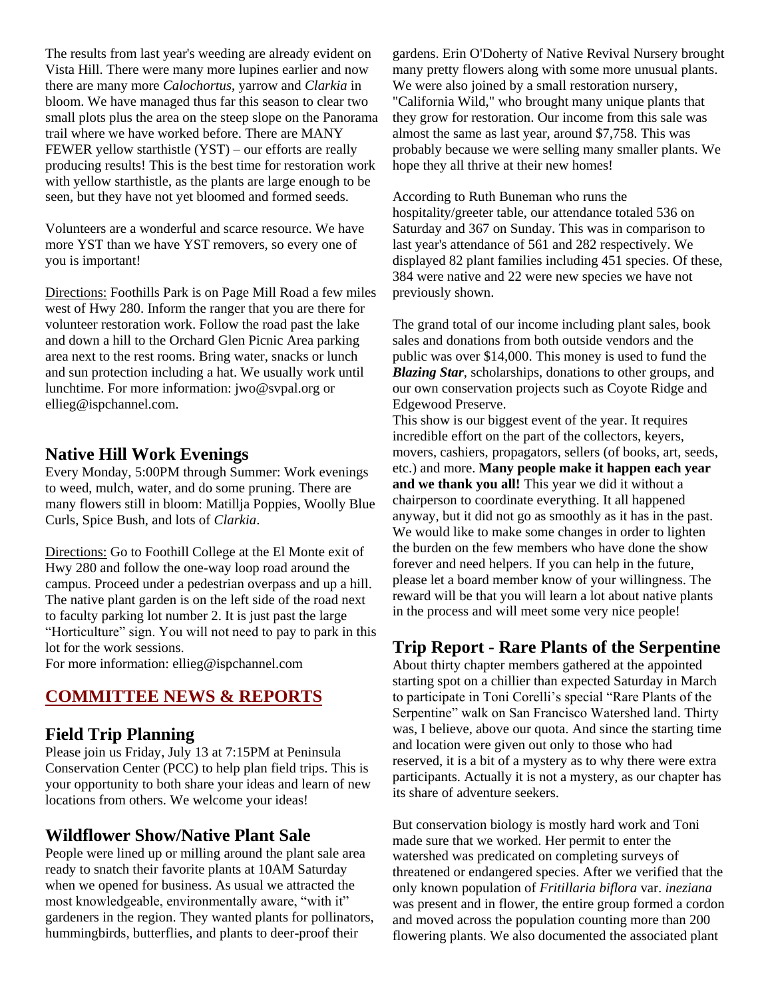The results from last year's weeding are already evident on Vista Hill. There were many more lupines earlier and now there are many more *Calochortus*, yarrow and *Clarkia* in bloom. We have managed thus far this season to clear two small plots plus the area on the steep slope on the Panorama trail where we have worked before. There are MANY FEWER yellow starthistle (YST) – our efforts are really producing results! This is the best time for restoration work with yellow starthistle, as the plants are large enough to be seen, but they have not yet bloomed and formed seeds.

Volunteers are a wonderful and scarce resource. We have more YST than we have YST removers, so every one of you is important!

Directions: Foothills Park is on Page Mill Road a few miles west of Hwy 280. Inform the ranger that you are there for volunteer restoration work. Follow the road past the lake and down a hill to the Orchard Glen Picnic Area parking area next to the rest rooms. Bring water, snacks or lunch and sun protection including a hat. We usually work until lunchtime. For more information: jwo@svpal.org or ellieg@ispchannel.com.

## **Native Hill Work Evenings**

Every Monday, 5:00PM through Summer: Work evenings to weed, mulch, water, and do some pruning. There are many flowers still in bloom: Matillja Poppies, Woolly Blue Curls, Spice Bush, and lots of *Clarkia*.

Directions: Go to Foothill College at the El Monte exit of Hwy 280 and follow the one-way loop road around the campus. Proceed under a pedestrian overpass and up a hill. The native plant garden is on the left side of the road next to faculty parking lot number 2. It is just past the large "Horticulture" sign. You will not need to pay to park in this lot for the work sessions.

For more information: ellieg@ispchannel.com

## **COMMITTEE NEWS & REPORTS**

## **Field Trip Planning**

Please join us Friday, July 13 at 7:15PM at Peninsula Conservation Center (PCC) to help plan field trips. This is your opportunity to both share your ideas and learn of new locations from others. We welcome your ideas!

## **Wildflower Show/Native Plant Sale**

People were lined up or milling around the plant sale area ready to snatch their favorite plants at 10AM Saturday when we opened for business. As usual we attracted the most knowledgeable, environmentally aware, "with it" gardeners in the region. They wanted plants for pollinators, hummingbirds, butterflies, and plants to deer-proof their

gardens. Erin O'Doherty of Native Revival Nursery brought many pretty flowers along with some more unusual plants. We were also joined by a small restoration nursery, "California Wild," who brought many unique plants that they grow for restoration. Our income from this sale was almost the same as last year, around \$7,758. This was probably because we were selling many smaller plants. We hope they all thrive at their new homes!

According to Ruth Buneman who runs the hospitality/greeter table, our attendance totaled 536 on Saturday and 367 on Sunday. This was in comparison to last year's attendance of 561 and 282 respectively. We displayed 82 plant families including 451 species. Of these, 384 were native and 22 were new species we have not previously shown.

The grand total of our income including plant sales, book sales and donations from both outside vendors and the public was over \$14,000. This money is used to fund the *Blazing Star*, scholarships, donations to other groups, and our own conservation projects such as Coyote Ridge and Edgewood Preserve.

This show is our biggest event of the year. It requires incredible effort on the part of the collectors, keyers, movers, cashiers, propagators, sellers (of books, art, seeds, etc.) and more. **Many people make it happen each year and we thank you all!** This year we did it without a chairperson to coordinate everything. It all happened anyway, but it did not go as smoothly as it has in the past. We would like to make some changes in order to lighten the burden on the few members who have done the show forever and need helpers. If you can help in the future, please let a board member know of your willingness. The reward will be that you will learn a lot about native plants in the process and will meet some very nice people!

## **Trip Report - Rare Plants of the Serpentine**

About thirty chapter members gathered at the appointed starting spot on a chillier than expected Saturday in March to participate in Toni Corelli's special "Rare Plants of the Serpentine" walk on San Francisco Watershed land. Thirty was, I believe, above our quota. And since the starting time and location were given out only to those who had reserved, it is a bit of a mystery as to why there were extra participants. Actually it is not a mystery, as our chapter has its share of adventure seekers.

But conservation biology is mostly hard work and Toni made sure that we worked. Her permit to enter the watershed was predicated on completing surveys of threatened or endangered species. After we verified that the only known population of *Fritillaria biflora* var. *ineziana*  was present and in flower, the entire group formed a cordon and moved across the population counting more than 200 flowering plants. We also documented the associated plant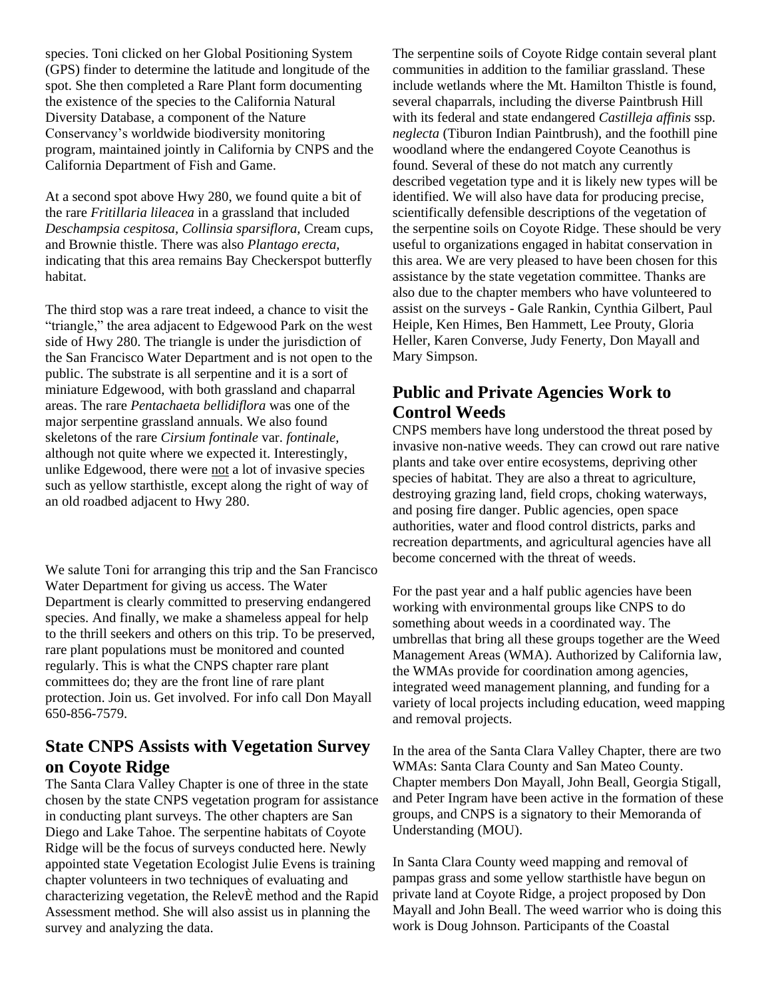species. Toni clicked on her Global Positioning System (GPS) finder to determine the latitude and longitude of the spot. She then completed a Rare Plant form documenting the existence of the species to the California Natural Diversity Database, a component of the Nature Conservancy's worldwide biodiversity monitoring program, maintained jointly in California by CNPS and the California Department of Fish and Game.

At a second spot above Hwy 280, we found quite a bit of the rare *Fritillaria lileacea* in a grassland that included *Deschampsia cespitosa, Collinsia sparsiflora,* Cream cups, and Brownie thistle. There was also *Plantago erecta,*  indicating that this area remains Bay Checkerspot butterfly habitat.

The third stop was a rare treat indeed, a chance to visit the "triangle," the area adjacent to Edgewood Park on the west side of Hwy 280. The triangle is under the jurisdiction of the San Francisco Water Department and is not open to the public. The substrate is all serpentine and it is a sort of miniature Edgewood, with both grassland and chaparral areas. The rare *Pentachaeta bellidiflora* was one of the major serpentine grassland annuals. We also found skeletons of the rare *Cirsium fontinale* var. *fontinale,* although not quite where we expected it. Interestingly, unlike Edgewood, there were not a lot of invasive species such as yellow starthistle, except along the right of way of an old roadbed adjacent to Hwy 280.

We salute Toni for arranging this trip and the San Francisco Water Department for giving us access. The Water Department is clearly committed to preserving endangered species. And finally, we make a shameless appeal for help to the thrill seekers and others on this trip. To be preserved, rare plant populations must be monitored and counted regularly. This is what the CNPS chapter rare plant committees do; they are the front line of rare plant protection. Join us. Get involved. For info call Don Mayall 650-856-7579.

## **State CNPS Assists with Vegetation Survey on Coyote Ridge**

The Santa Clara Valley Chapter is one of three in the state chosen by the state CNPS vegetation program for assistance in conducting plant surveys. The other chapters are San Diego and Lake Tahoe. The serpentine habitats of Coyote Ridge will be the focus of surveys conducted here. Newly appointed state Vegetation Ecologist Julie Evens is training chapter volunteers in two techniques of evaluating and characterizing vegetation, the RelevÈ method and the Rapid Assessment method. She will also assist us in planning the survey and analyzing the data.

The serpentine soils of Coyote Ridge contain several plant communities in addition to the familiar grassland. These include wetlands where the Mt. Hamilton Thistle is found, several chaparrals, including the diverse Paintbrush Hill with its federal and state endangered *Castilleja affinis* ssp. *neglecta* (Tiburon Indian Paintbrush), and the foothill pine woodland where the endangered Coyote Ceanothus is found. Several of these do not match any currently described vegetation type and it is likely new types will be identified. We will also have data for producing precise, scientifically defensible descriptions of the vegetation of the serpentine soils on Coyote Ridge. These should be very useful to organizations engaged in habitat conservation in this area. We are very pleased to have been chosen for this assistance by the state vegetation committee. Thanks are also due to the chapter members who have volunteered to assist on the surveys - Gale Rankin, Cynthia Gilbert, Paul Heiple, Ken Himes, Ben Hammett, Lee Prouty, Gloria Heller, Karen Converse, Judy Fenerty, Don Mayall and Mary Simpson.

## **Public and Private Agencies Work to Control Weeds**

CNPS members have long understood the threat posed by invasive non-native weeds. They can crowd out rare native plants and take over entire ecosystems, depriving other species of habitat. They are also a threat to agriculture, destroying grazing land, field crops, choking waterways, and posing fire danger. Public agencies, open space authorities, water and flood control districts, parks and recreation departments, and agricultural agencies have all become concerned with the threat of weeds.

For the past year and a half public agencies have been working with environmental groups like CNPS to do something about weeds in a coordinated way. The umbrellas that bring all these groups together are the Weed Management Areas (WMA). Authorized by California law, the WMAs provide for coordination among agencies, integrated weed management planning, and funding for a variety of local projects including education, weed mapping and removal projects.

In the area of the Santa Clara Valley Chapter, there are two WMAs: Santa Clara County and San Mateo County. Chapter members Don Mayall, John Beall, Georgia Stigall, and Peter Ingram have been active in the formation of these groups, and CNPS is a signatory to their Memoranda of Understanding (MOU).

In Santa Clara County weed mapping and removal of pampas grass and some yellow starthistle have begun on private land at Coyote Ridge, a project proposed by Don Mayall and John Beall. The weed warrior who is doing this work is Doug Johnson. Participants of the Coastal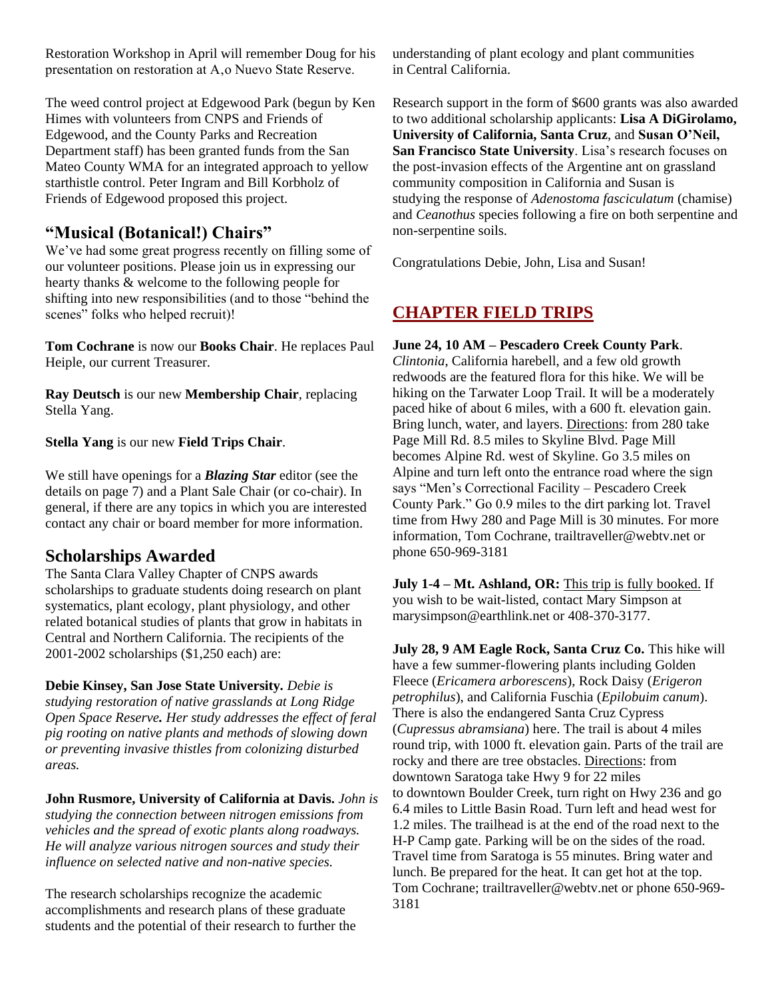Restoration Workshop in April will remember Doug for his presentation on restoration at A,o Nuevo State Reserve.

The weed control project at Edgewood Park (begun by Ken Himes with volunteers from CNPS and Friends of Edgewood, and the County Parks and Recreation Department staff) has been granted funds from the San Mateo County WMA for an integrated approach to yellow starthistle control. Peter Ingram and Bill Korbholz of Friends of Edgewood proposed this project.

## **"Musical (Botanical!) Chairs"**

We've had some great progress recently on filling some of our volunteer positions. Please join us in expressing our hearty thanks & welcome to the following people for shifting into new responsibilities (and to those "behind the scenes" folks who helped recruit)!

**Tom Cochrane** is now our **Books Chair**. He replaces Paul Heiple, our current Treasurer.

**Ray Deutsch** is our new **Membership Chair**, replacing Stella Yang.

**Stella Yang** is our new **Field Trips Chair**.

We still have openings for a *Blazing Star* editor (see the details on page 7) and a Plant Sale Chair (or co-chair). In general, if there are any topics in which you are interested contact any chair or board member for more information.

## **Scholarships Awarded**

The Santa Clara Valley Chapter of CNPS awards scholarships to graduate students doing research on plant systematics, plant ecology, plant physiology, and other related botanical studies of plants that grow in habitats in Central and Northern California. The recipients of the 2001-2002 scholarships (\$1,250 each) are:

**Debie Kinsey, San Jose State University***. Debie is studying restoration of native grasslands at Long Ridge Open Space Reserve. Her study addresses the effect of feral pig rooting on native plants and methods of slowing down or preventing invasive thistles from colonizing disturbed areas.* 

**John Rusmore, University of California at Davis.** *John is studying the connection between nitrogen emissions from vehicles and the spread of exotic plants along roadways. He will analyze various nitrogen sources and study their influence on selected native and non-native species.*

The research scholarships recognize the academic accomplishments and research plans of these graduate students and the potential of their research to further the understanding of plant ecology and plant communities in Central California.

Research support in the form of \$600 grants was also awarded to two additional scholarship applicants: **Lisa A DiGirolamo, University of California, Santa Cruz**, and **Susan O'Neil, San Francisco State University**. Lisa's research focuses on the post-invasion effects of the Argentine ant on grassland community composition in California and Susan is studying the response of *Adenostoma fasciculatum* (chamise) and *Ceanothus* species following a fire on both serpentine and non-serpentine soils.

Congratulations Debie, John, Lisa and Susan!

# **CHAPTER FIELD TRIPS**

#### **June 24, 10 AM – Pescadero Creek County Park**.

*Clintonia*, California harebell, and a few old growth redwoods are the featured flora for this hike. We will be hiking on the Tarwater Loop Trail. It will be a moderately paced hike of about 6 miles, with a 600 ft. elevation gain. Bring lunch, water, and layers. Directions: from 280 take Page Mill Rd. 8.5 miles to Skyline Blvd. Page Mill becomes Alpine Rd. west of Skyline. Go 3.5 miles on Alpine and turn left onto the entrance road where the sign says "Men's Correctional Facility – Pescadero Creek County Park." Go 0.9 miles to the dirt parking lot. Travel time from Hwy 280 and Page Mill is 30 minutes. For more information, Tom Cochrane, trailtraveller@webtv.net or phone 650-969-3181

**July 1-4 – Mt. Ashland, OR:** This trip is fully booked. If you wish to be wait-listed, contact Mary Simpson at marysimpson@earthlink.net or 408-370-3177.

**July 28, 9 AM Eagle Rock, Santa Cruz Co.** This hike will have a few summer-flowering plants including Golden Fleece (*Ericamera arborescens*), Rock Daisy (*Erigeron petrophilus*), and California Fuschia (*Epilobuim canum*). There is also the endangered Santa Cruz Cypress (*Cupressus abramsiana*) here. The trail is about 4 miles round trip, with 1000 ft. elevation gain. Parts of the trail are rocky and there are tree obstacles. Directions: from downtown Saratoga take Hwy 9 for 22 miles to downtown Boulder Creek, turn right on Hwy 236 and go 6.4 miles to Little Basin Road. Turn left and head west for 1.2 miles. The trailhead is at the end of the road next to the H-P Camp gate. Parking will be on the sides of the road. Travel time from Saratoga is 55 minutes. Bring water and lunch. Be prepared for the heat. It can get hot at the top. Tom Cochrane; trailtraveller@webtv.net or phone 650-969- 3181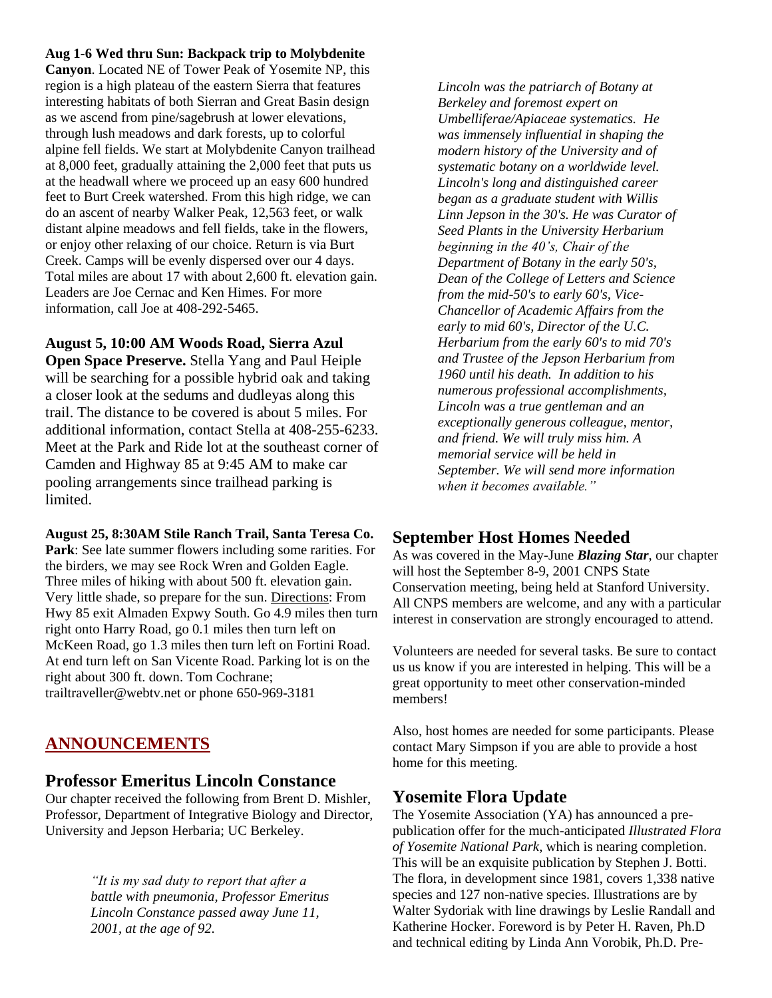#### **Aug 1-6 Wed thru Sun: Backpack trip to Molybdenite**

**Canyon**. Located NE of Tower Peak of Yosemite NP, this region is a high plateau of the eastern Sierra that features interesting habitats of both Sierran and Great Basin design as we ascend from pine/sagebrush at lower elevations, through lush meadows and dark forests, up to colorful alpine fell fields. We start at Molybdenite Canyon trailhead at 8,000 feet, gradually attaining the 2,000 feet that puts us at the headwall where we proceed up an easy 600 hundred feet to Burt Creek watershed. From this high ridge, we can do an ascent of nearby Walker Peak, 12,563 feet, or walk distant alpine meadows and fell fields, take in the flowers, or enjoy other relaxing of our choice. Return is via Burt Creek. Camps will be evenly dispersed over our 4 days. Total miles are about 17 with about 2,600 ft. elevation gain. Leaders are Joe Cernac and Ken Himes. For more information, call Joe at 408-292-5465.

**August 5, 10:00 AM Woods Road, Sierra Azul** 

**Open Space Preserve.** Stella Yang and Paul Heiple will be searching for a possible hybrid oak and taking a closer look at the sedums and dudleyas along this trail. The distance to be covered is about 5 miles. For additional information, contact Stella at 408-255-6233. Meet at the Park and Ride lot at the southeast corner of Camden and Highway 85 at 9:45 AM to make car pooling arrangements since trailhead parking is limited.

**August 25, 8:30AM Stile Ranch Trail, Santa Teresa Co. Park**: See late summer flowers including some rarities. For the birders, we may see Rock Wren and Golden Eagle. Three miles of hiking with about 500 ft. elevation gain. Very little shade, so prepare for the sun. Directions: From Hwy 85 exit Almaden Expwy South. Go 4.9 miles then turn right onto Harry Road, go 0.1 miles then turn left on McKeen Road, go 1.3 miles then turn left on Fortini Road. At end turn left on San Vicente Road. Parking lot is on the right about 300 ft. down. Tom Cochrane; trailtraveller@webtv.net or phone 650-969-3181

## **ANNOUNCEMENTS**

#### **Professor Emeritus Lincoln Constance**

Our chapter received the following from Brent D. Mishler, Professor, Department of Integrative Biology and Director, University and Jepson Herbaria; UC Berkeley.

> *"It is my sad duty to report that after a battle with pneumonia, Professor Emeritus Lincoln Constance passed away June 11, 2001, at the age of 92.*

*Lincoln was the patriarch of Botany at Berkeley and foremost expert on Umbelliferae/Apiaceae systematics. He was immensely influential in shaping the modern history of the University and of systematic botany on a worldwide level. Lincoln's long and distinguished career began as a graduate student with Willis Linn Jepson in the 30's. He was Curator of Seed Plants in the University Herbarium beginning in the 40's, Chair of the Department of Botany in the early 50's, Dean of the College of Letters and Science from the mid-50's to early 60's, Vice-Chancellor of Academic Affairs from the early to mid 60's, Director of the U.C. Herbarium from the early 60's to mid 70's and Trustee of the Jepson Herbarium from 1960 until his death. In addition to his numerous professional accomplishments, Lincoln was a true gentleman and an exceptionally generous colleague, mentor, and friend. We will truly miss him. A memorial service will be held in September. We will send more information when it becomes available."*

## **September Host Homes Needed**

As was covered in the May-June *Blazing Star*, our chapter will host the September 8-9, 2001 CNPS State Conservation meeting, being held at Stanford University. All CNPS members are welcome, and any with a particular interest in conservation are strongly encouraged to attend.

Volunteers are needed for several tasks. Be sure to contact us us know if you are interested in helping. This will be a great opportunity to meet other conservation-minded members!

Also, host homes are needed for some participants. Please contact Mary Simpson if you are able to provide a host home for this meeting.

## **Yosemite Flora Update**

The Yosemite Association (YA) has announced a prepublication offer for the much-anticipated *Illustrated Flora of Yosemite National Park*, which is nearing completion. This will be an exquisite publication by Stephen J. Botti. The flora, in development since 1981, covers 1,338 native species and 127 non-native species. Illustrations are by Walter Sydoriak with line drawings by Leslie Randall and Katherine Hocker. Foreword is by Peter H. Raven, Ph.D and technical editing by Linda Ann Vorobik, Ph.D. Pre